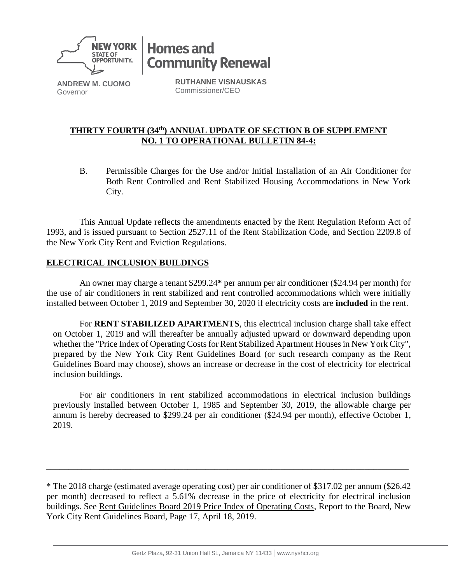

**Homes and Community Renewal** 

**ANDREW M. CUOMO** Governor

**RUTHANNE VISNAUSKAS** Commissioner/CEO

## **THIRTY FOURTH (34 th) ANNUAL UPDATE OF SECTION B OF SUPPLEMENT NO. 1 TO OPERATIONAL BULLETIN 84-4:**

B. Permissible Charges for the Use and/or Initial Installation of an Air Conditioner for Both Rent Controlled and Rent Stabilized Housing Accommodations in New York City.

This Annual Update reflects the amendments enacted by the Rent Regulation Reform Act of 1993, and is issued pursuant to Section 2527.11 of the Rent Stabilization Code, and Section 2209.8 of the New York City Rent and Eviction Regulations.

## **ELECTRICAL INCLUSION BUILDINGS**

An owner may charge a tenant \$299.24**\*** per annum per air conditioner (\$24.94 per month) for the use of air conditioners in rent stabilized and rent controlled accommodations which were initially installed between October 1, 2019 and September 30, 2020 if electricity costs are **included** in the rent.

For **RENT STABILIZED APARTMENTS**, this electrical inclusion charge shall take effect on October 1, 2019 and will thereafter be annually adjusted upward or downward depending upon whether the "Price Index of Operating Costs for Rent Stabilized Apartment Houses in New York City", prepared by the New York City Rent Guidelines Board (or such research company as the Rent Guidelines Board may choose), shows an increase or decrease in the cost of electricity for electrical inclusion buildings.

For air conditioners in rent stabilized accommodations in electrical inclusion buildings previously installed between October 1, 1985 and September 30, 2019, the allowable charge per annum is hereby decreased to \$299.24 per air conditioner (\$24.94 per month), effective October 1, 2019.

\_\_\_\_\_\_\_\_\_\_\_\_\_\_\_\_\_\_\_\_\_\_\_\_\_\_\_\_\_\_\_\_\_\_\_\_\_\_\_\_\_\_\_\_\_\_\_\_\_\_\_\_\_\_\_\_\_\_\_\_\_\_\_\_\_\_\_\_\_\_\_\_\_\_\_\_\_\_\_\_\_\_

<sup>\*</sup> The 2018 charge (estimated average operating cost) per air conditioner of \$317.02 per annum (\$26.42 per month) decreased to reflect a 5.61% decrease in the price of electricity for electrical inclusion buildings. See Rent Guidelines Board 2019 Price Index of Operating Costs, Report to the Board, New York City Rent Guidelines Board, Page 17, April 18, 2019.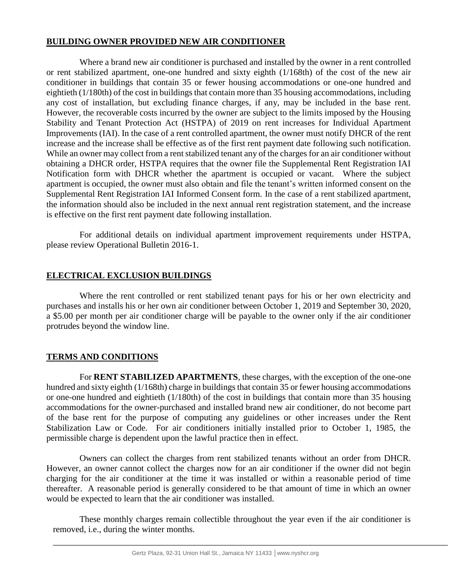#### **BUILDING OWNER PROVIDED NEW AIR CONDITIONER**

Where a brand new air conditioner is purchased and installed by the owner in a rent controlled or rent stabilized apartment, one-one hundred and sixty eighth (1/168th) of the cost of the new air conditioner in buildings that contain 35 or fewer housing accommodations or one-one hundred and eightieth (1/180th) of the cost in buildings that contain more than 35 housing accommodations, including any cost of installation, but excluding finance charges, if any, may be included in the base rent. However, the recoverable costs incurred by the owner are subject to the limits imposed by the Housing Stability and Tenant Protection Act (HSTPA) of 2019 on rent increases for Individual Apartment Improvements (IAI). In the case of a rent controlled apartment, the owner must notify DHCR of the rent increase and the increase shall be effective as of the first rent payment date following such notification. While an owner may collect from a rent stabilized tenant any of the charges for an air conditioner without obtaining a DHCR order, HSTPA requires that the owner file the Supplemental Rent Registration IAI Notification form with DHCR whether the apartment is occupied or vacant. Where the subject apartment is occupied, the owner must also obtain and file the tenant's written informed consent on the Supplemental Rent Registration IAI Informed Consent form. In the case of a rent stabilized apartment, the information should also be included in the next annual rent registration statement, and the increase is effective on the first rent payment date following installation.

For additional details on individual apartment improvement requirements under HSTPA, please review Operational Bulletin 2016-1.

# **ELECTRICAL EXCLUSION BUILDINGS**

Where the rent controlled or rent stabilized tenant pays for his or her own electricity and purchases and installs his or her own air conditioner between October 1, 2019 and September 30, 2020, a \$5.00 per month per air conditioner charge will be payable to the owner only if the air conditioner protrudes beyond the window line.

## **TERMS AND CONDITIONS**

For **RENT STABILIZED APARTMENTS**, these charges, with the exception of the one-one hundred and sixty eighth (1/168th) charge in buildings that contain 35 or fewer housing accommodations or one-one hundred and eightieth (1/180th) of the cost in buildings that contain more than 35 housing accommodations for the owner-purchased and installed brand new air conditioner, do not become part of the base rent for the purpose of computing any guidelines or other increases under the Rent Stabilization Law or Code. For air conditioners initially installed prior to October 1, 1985, the permissible charge is dependent upon the lawful practice then in effect.

Owners can collect the charges from rent stabilized tenants without an order from DHCR. However, an owner cannot collect the charges now for an air conditioner if the owner did not begin charging for the air conditioner at the time it was installed or within a reasonable period of time thereafter. A reasonable period is generally considered to be that amount of time in which an owner would be expected to learn that the air conditioner was installed.

These monthly charges remain collectible throughout the year even if the air conditioner is removed, i.e., during the winter months.